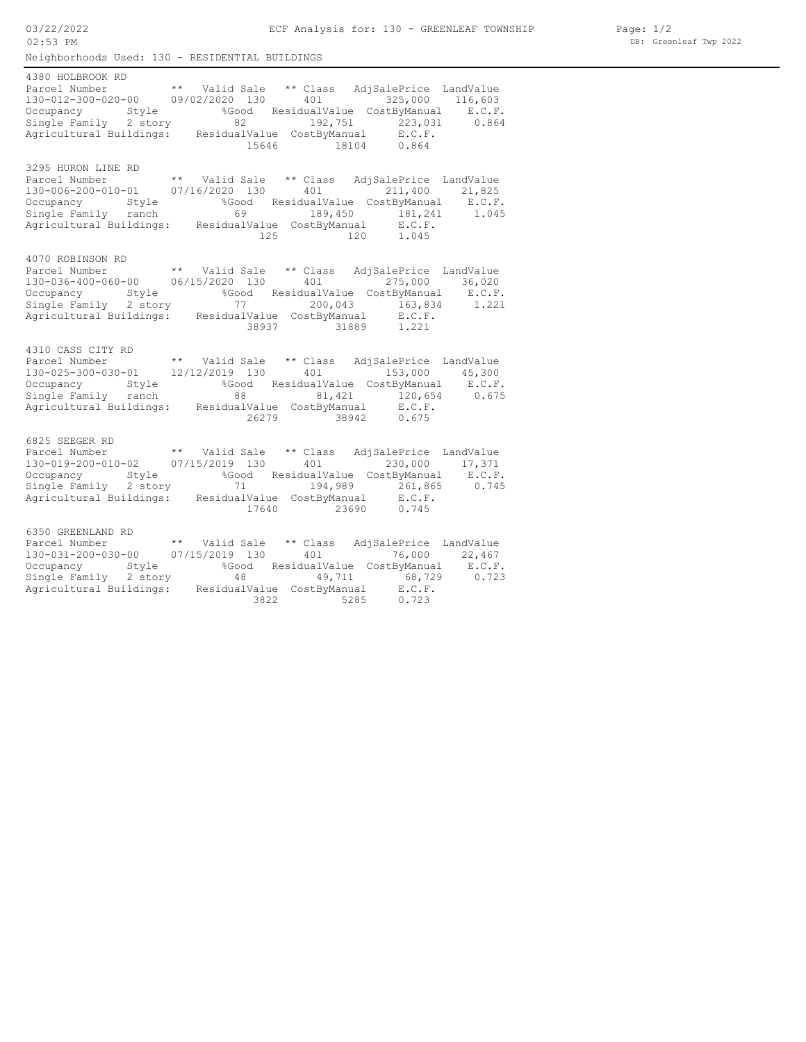Neighborhoods Used: 130 - RESIDENTIAL BUILDINGS ECF Analysis for: 130 - GREENLEAF TOWNSHIP 03/22/2022 02:53 PM 15646 18104 0.864 Agricultural Buildings: ResidualValue CostByManual E.C.F. Single Family 2 story 82 192,751 223,031 0.864 Occupancy Style %Good ResidualValue CostByManual E.C.F. 130-012-300-020-00 09/02/2020 130 401 325,000 116,603 Parcel Number \*\* Valid Sale \*\* Class AdjSalePrice LandValue 4380 HOLBROOK RD 125 120 1.045 Agricultural Buildings: ResidualValue CostByManual E.C.F. Single Family ranch 69 189,450 181,241 1.045 Occupancy Style %Good ResidualValue CostByManual E.C.F. 130-006-200-010-01 07/16/2020 130 401 211,400 21,825 Parcel Number \*\* Valid Sale \*\* Class AdjSalePrice LandValue 3295 HURON LINE RD 38937 31889 1.221 Agricultural Buildings: ResidualValue CostByManual E.C.F. Single Family 2 story 77 200,043 163,834 1.221 Occupancy Style %Good ResidualValue CostByManual E.C.F. 130-036-400-060-00 06/15/2020 130 401 275,000 36,020 Parcel Number \*\* Valid Sale \*\* Class AdjSalePrice LandValue 4070 ROBINSON RD 26279 38942 0.675 Agricultural Buildings: ResidualValue CostByManual E.C.F. Single Family ranch 88 81,421 120,654 0.675 Occupancy Style %Good ResidualValue CostByManual E.C.F. 130-025-300-030-01 12/12/2019 130 401 153,000 45,300 Parcel Number \*\* Valid Sale \*\* Class AdjSalePrice LandValue 4310 CASS CITY RD 17640 23690 0.745 Agricultural Buildings: ResidualValue CostByManual E.C.F. Single Family 2 story 11 194,989 261,865 0.745 Occupancy Style %Good ResidualValue CostByManual E.C.F. 130-019-200-010-02 07/15/2019 130 401 230,000 17,371 Parcel Number \*\* Valid Sale \*\* Class AdjSalePrice LandValue 6825 SEEGER RD 3822 5285 0.723 Agricultural Buildings: ResidualValue CostByManual E.C.F. Single Family 2 story 48 49,711 68,729 0.723 Occupancy Style %Good ResidualValue CostByManual E.C.F. 130-031-200-030-00 07/15/2019 130 401 76,000 22,467 Parcel Number \*\* Valid Sale \*\* Class AdjSalePrice LandValue 6350 GREENLAND RD